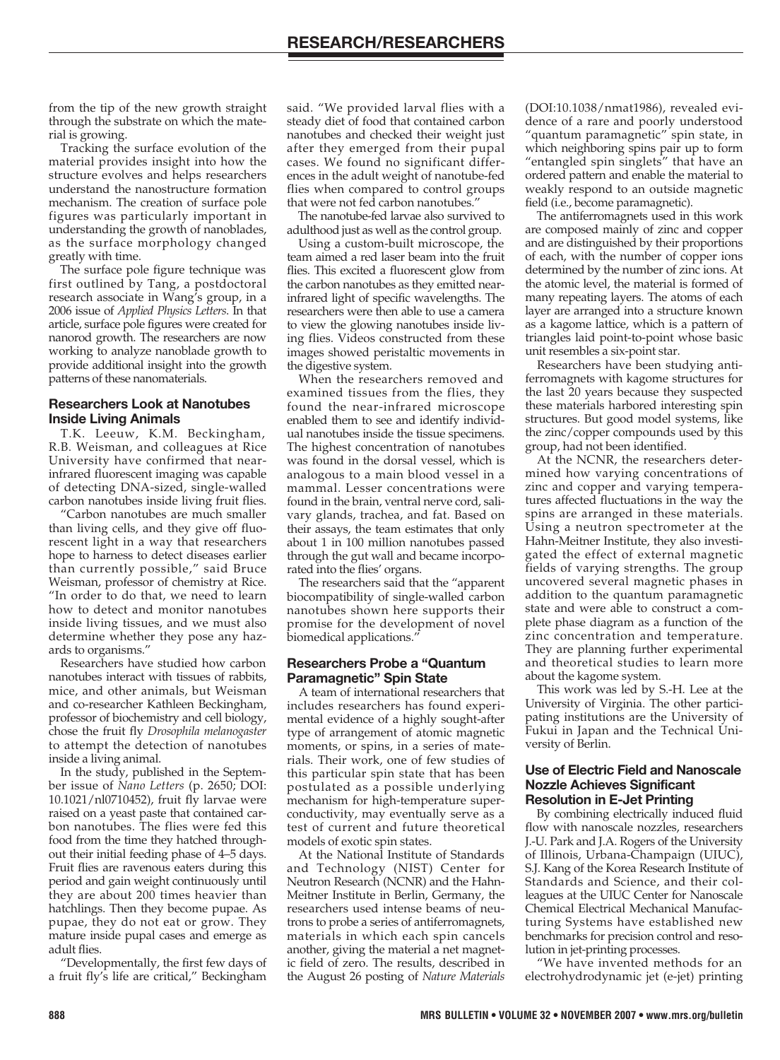from the tip of the new growth straight through the substrate on which the material is growing.

Tracking the surface evolution of the material provides insight into how the structure evolves and helps researchers understand the nanostructure formation mechanism. The creation of surface pole figures was particularly important in understanding the growth of nanoblades, as the surface morphology changed greatly with time.

The surface pole figure technique was first outlined by Tang, a postdoctoral research associate in Wang's group, in a 2006 issue of *Applied Physics Letters*. In that article, surface pole figures were created for nanorod growth. The researchers are now working to analyze nanoblade growth to provide additional insight into the growth patterns of these nanomaterials.

### **Researchers Look at Nanotubes Inside Living Animals**

T.K. Leeuw, K.M. Beckingham, R.B. Weisman, and colleagues at Rice University have confirmed that nearinfrared fluorescent imaging was capable of detecting DNA-sized, single-walled carbon nanotubes inside living fruit flies.

"Carbon nanotubes are much smaller than living cells, and they give off fluorescent light in a way that researchers hope to harness to detect diseases earlier than currently possible," said Bruce Weisman, professor of chemistry at Rice. "In order to do that, we need to learn how to detect and monitor nanotubes inside living tissues, and we must also determine whether they pose any hazards to organisms."

Researchers have studied how carbon nanotubes interact with tissues of rabbits, mice, and other animals, but Weisman and co-researcher Kathleen Beckingham, professor of biochemistry and cell biology, chose the fruit fly *Drosophila melano gaster* to attempt the detection of nanotubes inside a living animal.

In the study, published in the September issue of *Nano Letters* (p. 2650; DOI: 10.1021/nl0710452), fruit fly larvae were raised on a yeast paste that contained carbon nanotubes. The flies were fed this food from the time they hatched throughout their initial feeding phase of 4–5 days. Fruit flies are ravenous eaters during this period and gain weight continuously until they are about 200 times heavier than hatchlings. Then they become pupae. As pupae, they do not eat or grow. They mature inside pupal cases and emerge as adult flies.

"Developmentally, the first few days of a fruit fly's life are critical," Beckingham said. "We provided larval flies with a steady diet of food that contained carbon nanotubes and checked their weight just after they emerged from their pupal cases. We found no significant differences in the adult weight of nanotube-fed flies when compared to control groups that were not fed carbon nanotubes."

The nanotube-fed larvae also survived to adulthood just as well as the control group.

Using a custom-built microscope, the team aimed a red laser beam into the fruit flies. This excited a fluorescent glow from the carbon nanotubes as they emitted nearinfrared light of specific wavelengths. The researchers were then able to use a camera to view the glowing nanotubes inside living flies. Videos constructed from these images showed peristaltic movements in the digestive system.

When the researchers removed and examined tissues from the flies, they found the near-infrared microscope enabled them to see and identify individual nanotubes inside the tissue specimens. The highest concentration of nanotubes was found in the dorsal vessel, which is analogous to a main blood vessel in a mammal. Lesser concentrations were found in the brain, ventral nerve cord, salivary glands, trachea, and fat. Based on their assays, the team estimates that only about 1 in 100 million nanotubes passed through the gut wall and became incorporated into the flies' organs.

The researchers said that the "apparent biocompatibility of single-walled carbon nanotubes shown here supports their promise for the development of novel biomedical applications."

### **Researchers Probe a "Quantum Paramagnetic" Spin State**

A team of international researchers that includes researchers has found experimental evidence of a highly sought-after type of arrangement of atomic magnetic moments, or spins, in a series of materials. Their work, one of few studies of this particular spin state that has been postulated as a possible underlying mechanism for high-temperature superconductivity, may eventually serve as a test of current and future theoretical models of exotic spin states.

At the National Institute of Standards and Technology (NIST) Center for Neutron Research (NCNR) and the Hahn-Meitner Institute in Berlin, Germany, the researchers used intense beams of neutrons to probe a series of antiferromagnets, materials in which each spin cancels another, giving the material a net magnetic field of zero. The results, described in the August 26 posting of *Nature Materials* (DOI:10.1038/nmat1986), revealed evidence of a rare and poorly understood "quantum paramagnetic" spin state, in which neighboring spins pair up to form "entangled spin singlets" that have an ordered pattern and enable the material to weakly respond to an outside magnetic field (i.e., become paramagnetic).

The antiferromagnets used in this work are composed mainly of zinc and copper and are distinguished by their proportions of each, with the number of copper ions determined by the number of zinc ions. At the atomic level, the material is formed of many repeating layers. The atoms of each layer are arranged into a structure known as a kagome lattice, which is a pattern of triangles laid point-to-point whose basic unit resembles a six-point star.

Researchers have been studying antiferromagnets with kagome structures for the last 20 years because they suspected these materials harbored interesting spin structures. But good model systems, like the zinc/copper compounds used by this group, had not been identified.

At the NCNR, the researchers determined how varying concentrations of zinc and copper and varying temperatures affected fluctuations in the way the spins are arranged in these materials. Using a neutron spectrometer at the Hahn-Meitner Institute, they also investigated the effect of external magnetic fields of varying strengths. The group uncovered several magnetic phases in addition to the quantum paramagnetic state and were able to construct a complete phase diagram as a function of the zinc concentration and temperature. They are planning further experimental and theoretical studies to learn more about the kagome system.

This work was led by S.-H. Lee at the University of Virginia. The other participating institutions are the University of Fukui in Japan and the Technical University of Berlin.

### **Use of Electric Field and Nanoscale Nozzle Achieves Significant Resolution in E-Jet Printing**

By combining electrically induced fluid flow with nanoscale nozzles, researchers J.-U. Park and J.A. Rogers of the University of Illinois, Urbana-Champaign (UIUC), S.J. Kang of the Korea Research Institute of Standards and Science, and their colleagues at the UIUC Center for Nanoscale Chemical Electrical Mechanical Manufacturing Systems have established new benchmarks for precision control and resolution in jet-printing processes.

"We have invented methods for an electrohydrodynamic jet (e-jet) printing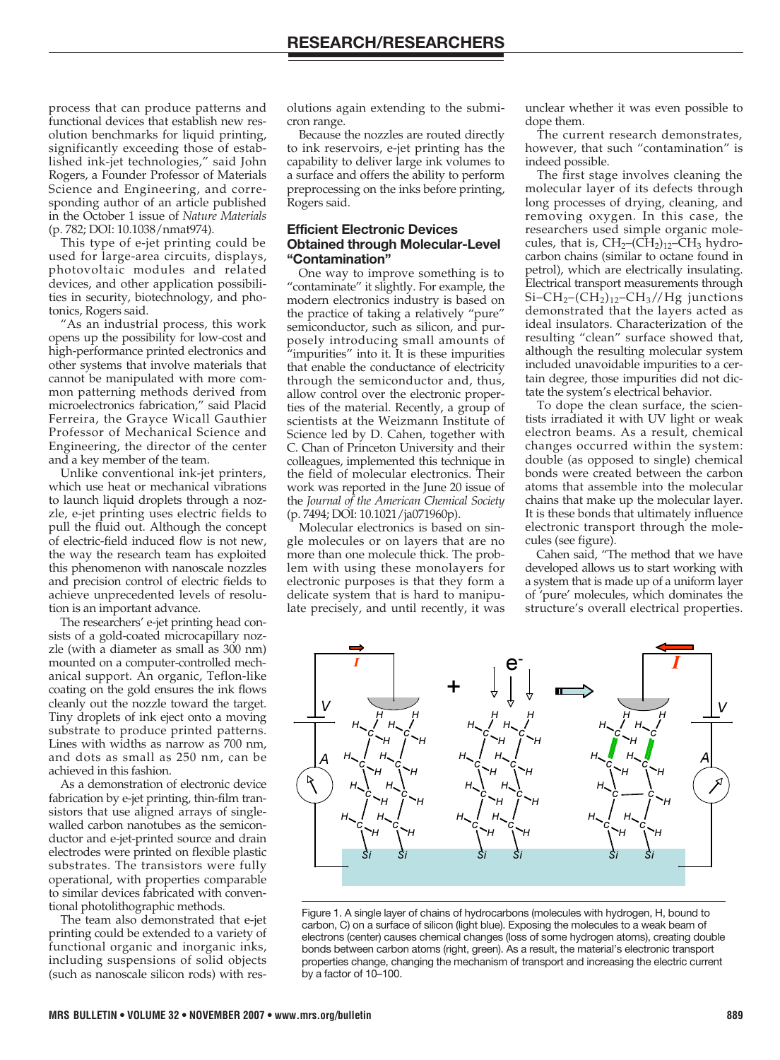process that can produce patterns and functional devices that establish new resolution benchmarks for liquid printing, significantly exceeding those of established ink-jet technologies," said John Rogers, a Founder Professor of Materials Science and Engineering, and corresponding author of an article published in the October 1 issue of *Nature Materials* (p. 782; DOI: 10.1038/nmat974).

This type of e-jet printing could be used for large-area circuits, displays, photovoltaic modules and related devices, and other application possibilities in security, biotechnology, and photonics, Rogers said.

"As an industrial process, this work opens up the possibility for low-cost and high-performance printed electronics and other systems that involve materials that cannot be manipulated with more common patterning methods derived from microelectronics fabrication," said Placid Ferreira, the Grayce Wicall Gauthier Professor of Mechanical Science and Engineering, the director of the center and a key member of the team.

Unlike conventional ink-jet printers, which use heat or mechanical vibrations to launch liquid droplets through a nozzle, e-jet printing uses electric fields to pull the fluid out. Although the concept of electric-field induced flow is not new, the way the research team has exploited this phenomenon with nanoscale nozzles and precision control of electric fields to achieve unprecedented levels of resolution is an important advance.

The researchers' e-jet printing head consists of a gold-coated microcapillary nozzle (with a diameter as small as 300 nm) mounted on a computer-controlled mechanical support. An organic, Teflon-like coating on the gold ensures the ink flows cleanly out the nozzle toward the target. Tiny droplets of ink eject onto a moving substrate to produce printed patterns. Lines with widths as narrow as 700 nm, and dots as small as 250 nm, can be achieved in this fashion.

As a demonstration of electronic device fabrication by e-jet printing, thin-film transistors that use aligned arrays of singlewalled carbon nanotubes as the semiconductor and e-jet-printed source and drain electrodes were printed on flexible plastic substrates. The transistors were fully operational, with properties comparable to similar devices fabricated with conventional photolithographic methods.

The team also demonstrated that e-jet printing could be extended to a variety of functional organic and inorganic inks, including suspensions of solid objects (such as nanoscale silicon rods) with resolutions again extending to the submicron range.

Because the nozzles are routed directly to ink reservoirs, e-jet printing has the capability to deliver large ink volumes to a surface and offers the ability to perform preprocessing on the inks before printing, Rogers said.

### **Efficient Electronic Devices Obtained through Molecular-Level "Contamination"**

One way to improve something is to "contaminate" it slightly. For example, the modern electronics industry is based on the practice of taking a relatively "pure" semiconductor, such as silicon, and purposely introducing small amounts of "impurities" into it. It is these impurities that enable the conductance of electricity through the semiconductor and, thus, allow control over the electronic properties of the material. Recently, a group of scientists at the Weizmann Institute of Science led by D. Cahen, together with C. Chan of Princeton University and their colleagues, implemented this technique in the field of molecular electronics. Their work was reported in the June 20 issue of the *Journal of the American Chemical Society* (p. 7494; DOI: 10.1021/ja071960p).

Molecular electronics is based on single molecules or on layers that are no more than one molecule thick. The problem with using these monolayers for electronic purposes is that they form a delicate system that is hard to manipulate precisely, and until recently, it was unclear whether it was even possible to dope them.

The current research demonstrates, however, that such "contamination" is indeed possible.

The first stage involves cleaning the molecular layer of its defects through long processes of drying, cleaning, and re moving oxygen. In this case, the researchers used simple organic molecules, that is,  $CH_2$ – $CH_2$ <sub>12</sub>– $CH_3$  hydrocarbon chains (similar to octane found in petrol), which are electrically insulating. Electrical transport measurements through Si–CH<sub>2</sub>–(CH<sub>2</sub>)<sub>12</sub>–CH<sub>3</sub>//Hg junctions demonstrated that the layers acted as ideal insulators. Characterization of the resulting "clean" surface showed that, although the resulting molecular system included unavoidable impurities to a certain degree, those impurities did not dictate the system's electrical behavior.

To dope the clean surface, the scientists irradiated it with UV light or weak electron beams. As a result, chemical changes occurred within the system: double (as opposed to single) chemical bonds were created between the carbon atoms that assemble into the molecular chains that make up the molecular layer. It is these bonds that ultimately influence electronic transport through the molecules (see figure).

Cahen said, "The method that we have developed allows us to start working with a system that is made up of a uniform layer of 'pure' molecules, which dominates the structure's overall electrical properties.



Figure 1. A single layer of chains of hydrocarbons (molecules with hydrogen, H, bound to carbon, C) on a surface of silicon (light blue). Exposing the molecules to a weak beam of electrons (center) causes chemical changes (loss of some hydrogen atoms), creating double bonds between carbon atoms (right, green). As a result, the material's electronic transport properties change, changing the mechanism of transport and increasing the electric current by a factor of 10–100.